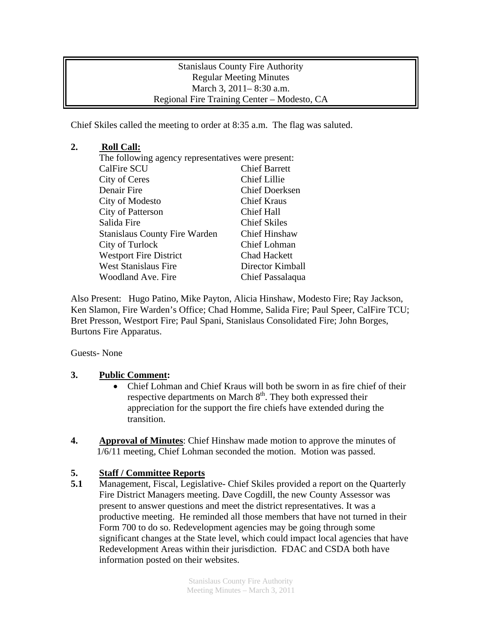Stanislaus County Fire Authority Regular Meeting Minutes March 3, 2011– 8:30 a.m. Regional Fire Training Center – Modesto, CA

Chief Skiles called the meeting to order at 8:35 a.m. The flag was saluted.

## **2. Roll Call:**

| The following agency representatives were present: |  |
|----------------------------------------------------|--|
| <b>Chief Barrett</b>                               |  |
| <b>Chief Lillie</b>                                |  |
| <b>Chief Doerksen</b>                              |  |
| <b>Chief Kraus</b>                                 |  |
| <b>Chief Hall</b>                                  |  |
| <b>Chief Skiles</b>                                |  |
| <b>Chief Hinshaw</b>                               |  |
| Chief Lohman                                       |  |
| <b>Chad Hackett</b>                                |  |
| Director Kimball                                   |  |
| Chief Passalaqua                                   |  |
|                                                    |  |

Also Present: Hugo Patino, Mike Payton, Alicia Hinshaw, Modesto Fire; Ray Jackson, Ken Slamon, Fire Warden's Office; Chad Homme, Salida Fire; Paul Speer, CalFire TCU; Bret Presson, Westport Fire; Paul Spani, Stanislaus Consolidated Fire; John Borges, Burtons Fire Apparatus.

Guests- None

## **3. Public Comment:**

- Chief Lohman and Chief Kraus will both be sworn in as fire chief of their respective departments on March  $8<sup>th</sup>$ . They both expressed their appreciation for the support the fire chiefs have extended during the transition.
- **4. Approval of Minutes**: Chief Hinshaw made motion to approve the minutes of 1/6/11 meeting, Chief Lohman seconded the motion. Motion was passed.

## **5. Staff / Committee Reports**

**5.1** Management, Fiscal, Legislative- Chief Skiles provided a report on the Quarterly Fire District Managers meeting. Dave Cogdill, the new County Assessor was present to answer questions and meet the district representatives. It was a productive meeting. He reminded all those members that have not turned in their Form 700 to do so. Redevelopment agencies may be going through some significant changes at the State level, which could impact local agencies that have Redevelopment Areas within their jurisdiction. FDAC and CSDA both have information posted on their websites.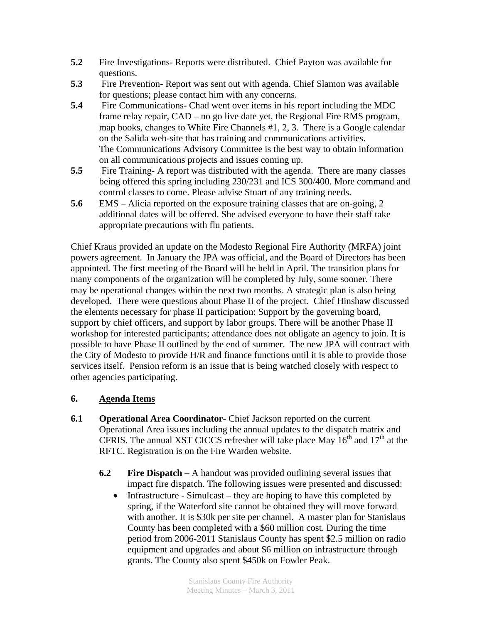- **5.2** Fire Investigations- Reports were distributed. Chief Payton was available for questions.
- **5.3** Fire Prevention- Report was sent out with agenda. Chief Slamon was available for questions; please contact him with any concerns.
- **5.4** Fire Communications- Chad went over items in his report including the MDC frame relay repair, CAD – no go live date yet, the Regional Fire RMS program, map books, changes to White Fire Channels #1, 2, 3. There is a Google calendar on the Salida web-site that has training and communications activities. The Communications Advisory Committee is the best way to obtain information on all communications projects and issues coming up.
- **5.5** Fire Training- A report was distributed with the agenda. There are many classes being offered this spring including 230/231 and ICS 300/400. More command and control classes to come. Please advise Stuart of any training needs.
- **5.6** EMS Alicia reported on the exposure training classes that are on-going, 2 additional dates will be offered. She advised everyone to have their staff take appropriate precautions with flu patients.

Chief Kraus provided an update on the Modesto Regional Fire Authority (MRFA) joint powers agreement. In January the JPA was official, and the Board of Directors has been appointed. The first meeting of the Board will be held in April. The transition plans for many components of the organization will be completed by July, some sooner. There may be operational changes within the next two months. A strategic plan is also being developed. There were questions about Phase II of the project. Chief Hinshaw discussed the elements necessary for phase II participation: Support by the governing board, support by chief officers, and support by labor groups. There will be another Phase II workshop for interested participants; attendance does not obligate an agency to join. It is possible to have Phase II outlined by the end of summer. The new JPA will contract with the City of Modesto to provide H/R and finance functions until it is able to provide those services itself. Pension reform is an issue that is being watched closely with respect to other agencies participating.

## **6. Agenda Items**

- **6.1 Operational Area Coordinator-** Chief Jackson reported on the current Operational Area issues including the annual updates to the dispatch matrix and CFRIS. The annual XST CICCS refresher will take place May  $16<sup>th</sup>$  and  $17<sup>th</sup>$  at the RFTC. Registration is on the Fire Warden website.
	- **6.2 Fire Dispatch** A handout was provided outlining several issues that impact fire dispatch. The following issues were presented and discussed:
		- Infrastructure Simulcast they are hoping to have this completed by spring, if the Waterford site cannot be obtained they will move forward with another. It is \$30k per site per channel. A master plan for Stanislaus County has been completed with a \$60 million cost. During the time period from 2006-2011 Stanislaus County has spent \$2.5 million on radio equipment and upgrades and about \$6 million on infrastructure through grants. The County also spent \$450k on Fowler Peak.